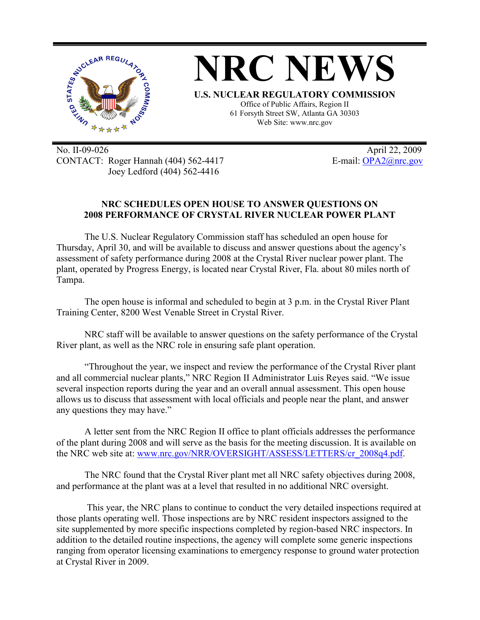

No. II-09-026 April 22, 2009 CONTACT: Roger Hannah (404) 562-4417 E-mail: OPA2@nrc.gov Joey Ledford (404) 562-4416

## **NRC SCHEDULES OPEN HOUSE TO ANSWER QUESTIONS ON 2008 PERFORMANCE OF CRYSTAL RIVER NUCLEAR POWER PLANT**

The U.S. Nuclear Regulatory Commission staff has scheduled an open house for Thursday, April 30, and will be available to discuss and answer questions about the agency's assessment of safety performance during 2008 at the Crystal River nuclear power plant. The plant, operated by Progress Energy, is located near Crystal River, Fla. about 80 miles north of Tampa.

The open house is informal and scheduled to begin at 3 p.m. in the Crystal River Plant Training Center, 8200 West Venable Street in Crystal River.

NRC staff will be available to answer questions on the safety performance of the Crystal River plant, as well as the NRC role in ensuring safe plant operation.

"Throughout the year, we inspect and review the performance of the Crystal River plant and all commercial nuclear plants," NRC Region II Administrator Luis Reyes said. "We issue several inspection reports during the year and an overall annual assessment. This open house allows us to discuss that assessment with local officials and people near the plant, and answer any questions they may have."

A letter sent from the NRC Region II office to plant officials addresses the performance of the plant during 2008 and will serve as the basis for the meeting discussion. It is available on the NRC web site at: www.nrc.gov/NRR/OVERSIGHT/ASSESS/LETTERS/cr\_2008q4.pdf.

The NRC found that the Crystal River plant met all NRC safety objectives during 2008, and performance at the plant was at a level that resulted in no additional NRC oversight.

 This year, the NRC plans to continue to conduct the very detailed inspections required at those plants operating well. Those inspections are by NRC resident inspectors assigned to the site supplemented by more specific inspections completed by region-based NRC inspectors. In addition to the detailed routine inspections, the agency will complete some generic inspections ranging from operator licensing examinations to emergency response to ground water protection at Crystal River in 2009.